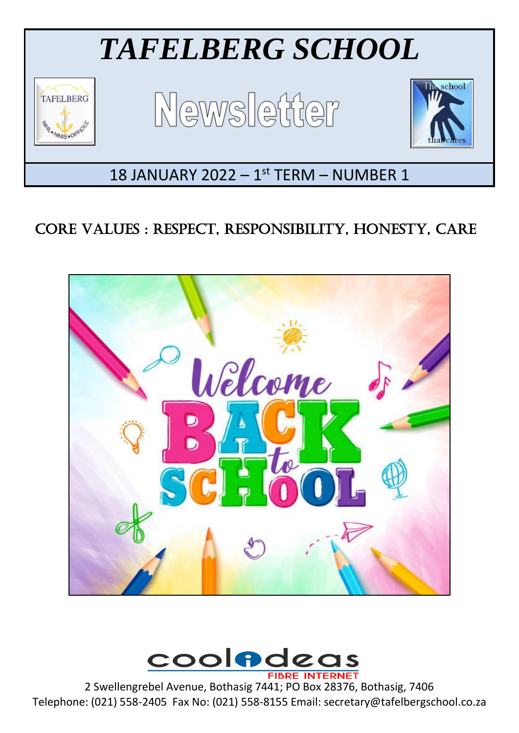

# CORE VALUES : RESPECT, RESPONSIBILITY, HONESTY, CARE





2 Swellengrebel Avenue, Bothasig 7441; PO Box 28376, Bothasig, 7406 Telephone: (021) 558-2405 Fax No: (021) 558-8155 Email: secretary@tafelbergschool.co.za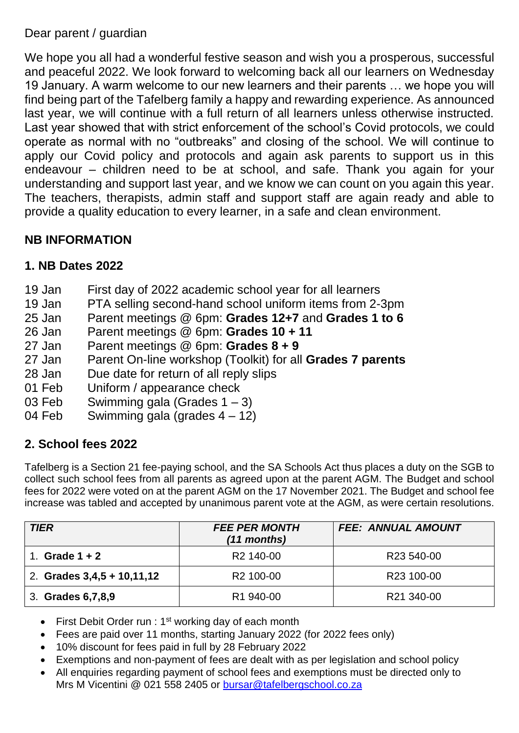Dear parent / guardian

We hope you all had a wonderful festive season and wish you a prosperous, successful and peaceful 2022. We look forward to welcoming back all our learners on Wednesday 19 January. A warm welcome to our new learners and their parents … we hope you will find being part of the Tafelberg family a happy and rewarding experience. As announced last year, we will continue with a full return of all learners unless otherwise instructed. Last year showed that with strict enforcement of the school's Covid protocols, we could operate as normal with no "outbreaks" and closing of the school. We will continue to apply our Covid policy and protocols and again ask parents to support us in this endeavour – children need to be at school, and safe. Thank you again for your understanding and support last year, and we know we can count on you again this year. The teachers, therapists, admin staff and support staff are again ready and able to provide a quality education to every learner, in a safe and clean environment.

## **NB INFORMATION**

#### **1. NB Dates 2022**

- 19 Jan First day of 2022 academic school year for all learners
- 19 Jan PTA selling second-hand school uniform items from 2-3pm
- 25 Jan Parent meetings @ 6pm: **Grades 12+7** and **Grades 1 to 6**
- 26 Jan Parent meetings @ 6pm: **Grades 10 + 11**
- 27 Jan Parent meetings @ 6pm: **Grades 8 + 9**
- 27 Jan Parent On-line workshop (Toolkit) for all **Grades 7 parents**
- 28 Jan Due date for return of all reply slips
- 01 Feb Uniform / appearance check
- 03 Feb Swimming gala (Grades 1 3)
- 04 Feb Swimming gala (grades 4 12)

## **2. School fees 2022**

Tafelberg is a Section 21 fee-paying school, and the SA Schools Act thus places a duty on the SGB to collect such school fees from all parents as agreed upon at the parent AGM. The Budget and school fees for 2022 were voted on at the parent AGM on the 17 November 2021. The Budget and school fee increase was tabled and accepted by unanimous parent vote at the AGM, as were certain resolutions.

| <b>TIER</b>                  | <b>FEE PER MONTH</b><br>(11 months) | <b>FEE: ANNUAL AMOUNT</b> |
|------------------------------|-------------------------------------|---------------------------|
| Grade $1 + 2$                | R <sub>2</sub> 140-00               | R <sub>23</sub> 540-00    |
| 2. Grades $3,4,5 + 10,11,12$ | R <sub>2</sub> 100-00               | R <sub>23</sub> 100-00    |
| 3. Grades 6,7,8,9            | R <sub>1</sub> 940-00               | R21 340-00                |

- First Debit Order run :  $1<sup>st</sup>$  working day of each month
- Fees are paid over 11 months, starting January 2022 (for 2022 fees only)
- 10% discount for fees paid in full by 28 February 2022
- Exemptions and non-payment of fees are dealt with as per legislation and school policy
- All enquiries regarding payment of school fees and exemptions must be directed only to Mrs M Vicentini @ 021 558 2405 or [bursar@tafelbergschool.co.za](mailto:bursar@tafelbergschool.co.za)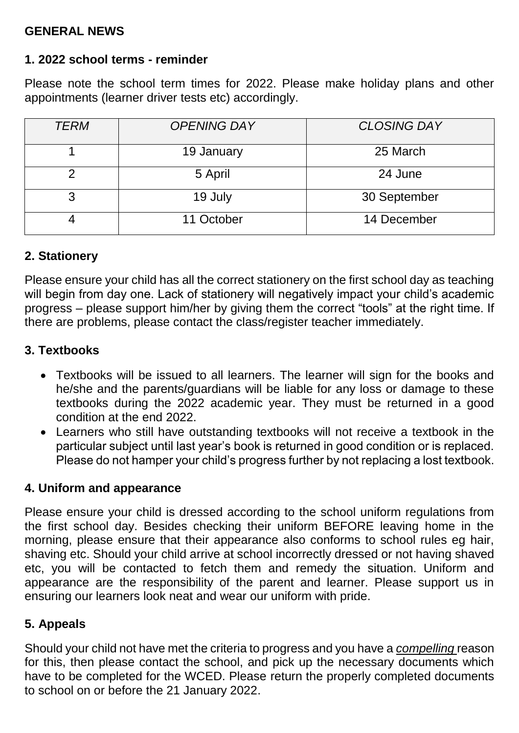#### **GENERAL NEWS**

#### **1. 2022 school terms - reminder**

Please note the school term times for 2022. Please make holiday plans and other appointments (learner driver tests etc) accordingly.

| <b>TERM</b> | <b>OPENING DAY</b> | <b>CLOSING DAY</b> |
|-------------|--------------------|--------------------|
|             | 19 January         | 25 March           |
|             | 5 April            | 24 June            |
| 3           | 19 July            | 30 September       |
|             | 11 October         | 14 December        |

#### **2. Stationery**

Please ensure your child has all the correct stationery on the first school day as teaching will begin from day one. Lack of stationery will negatively impact your child's academic progress – please support him/her by giving them the correct "tools" at the right time. If there are problems, please contact the class/register teacher immediately.

#### **3. Textbooks**

- Textbooks will be issued to all learners. The learner will sign for the books and he/she and the parents/guardians will be liable for any loss or damage to these textbooks during the 2022 academic year. They must be returned in a good condition at the end 2022.
- Learners who still have outstanding textbooks will not receive a textbook in the particular subject until last year's book is returned in good condition or is replaced. Please do not hamper your child's progress further by not replacing a lost textbook.

#### **4. Uniform and appearance**

Please ensure your child is dressed according to the school uniform regulations from the first school day. Besides checking their uniform BEFORE leaving home in the morning, please ensure that their appearance also conforms to school rules eg hair, shaving etc. Should your child arrive at school incorrectly dressed or not having shaved etc, you will be contacted to fetch them and remedy the situation. Uniform and appearance are the responsibility of the parent and learner. Please support us in ensuring our learners look neat and wear our uniform with pride.

## **5. Appeals**

Should your child not have met the criteria to progress and you have a *compelling* reason for this, then please contact the school, and pick up the necessary documents which have to be completed for the WCED. Please return the properly completed documents to school on or before the 21 January 2022.